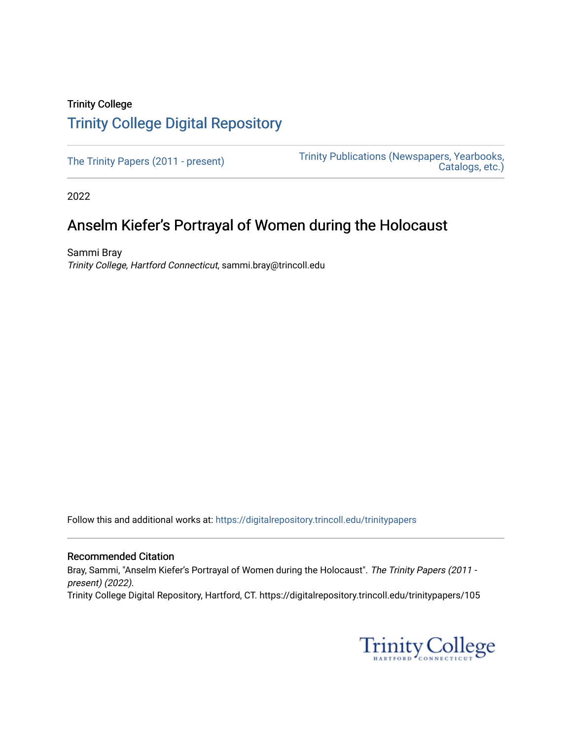## Trinity College [Trinity College Digital Repository](https://digitalrepository.trincoll.edu/)

[The Trinity Papers \(2011 - present\)](https://digitalrepository.trincoll.edu/trinitypapers) Trinity Publications (Newspapers, Yearbooks, [Catalogs, etc.\)](https://digitalrepository.trincoll.edu/publications) 

2022

# Anselm Kiefer's Portrayal of Women during the Holocaust

Sammi Bray Trinity College, Hartford Connecticut, sammi.bray@trincoll.edu

Follow this and additional works at: [https://digitalrepository.trincoll.edu/trinitypapers](https://digitalrepository.trincoll.edu/trinitypapers?utm_source=digitalrepository.trincoll.edu%2Ftrinitypapers%2F105&utm_medium=PDF&utm_campaign=PDFCoverPages)

#### Recommended Citation

Bray, Sammi, "Anselm Kiefer's Portrayal of Women during the Holocaust". The Trinity Papers (2011 present) (2022). Trinity College Digital Repository, Hartford, CT. https://digitalrepository.trincoll.edu/trinitypapers/105

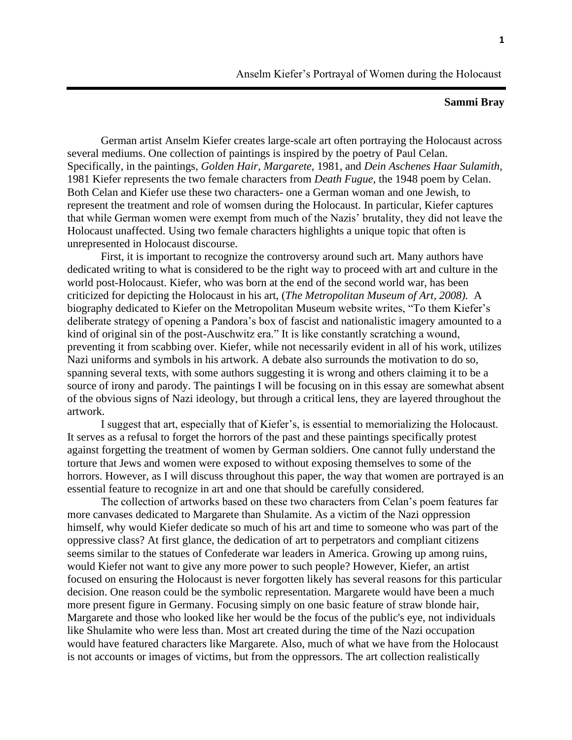## **Sammi Bray**

German artist Anselm Kiefer creates large-scale art often portraying the Holocaust across several mediums. One collection of paintings is inspired by the poetry of Paul Celan. Specifically, in the paintings, *Golden Hair, Margarete,* 1981, and *Dein Aschenes Haar Sulamith*, 1981 Kiefer represents the two female characters from *Death Fugue,* the 1948 poem by Celan. Both Celan and Kiefer use these two characters- one a German woman and one Jewish, to represent the treatment and role of womsen during the Holocaust. In particular, Kiefer captures that while German women were exempt from much of the Nazis' brutality, they did not leave the Holocaust unaffected. Using two female characters highlights a unique topic that often is unrepresented in Holocaust discourse.

First, it is important to recognize the controversy around such art. Many authors have dedicated writing to what is considered to be the right way to proceed with art and culture in the world post-Holocaust. Kiefer, who was born at the end of the second world war, has been criticized for depicting the Holocaust in his art, (*The Metropolitan Museum of Art, 2008).* A biography dedicated to Kiefer on the Metropolitan Museum website writes, "To them Kiefer's deliberate strategy of opening a Pandora's box of fascist and nationalistic imagery amounted to a kind of original sin of the post-Auschwitz era." It is like constantly scratching a wound, preventing it from scabbing over. Kiefer, while not necessarily evident in all of his work, utilizes Nazi uniforms and symbols in his artwork. A debate also surrounds the motivation to do so, spanning several texts, with some authors suggesting it is wrong and others claiming it to be a source of irony and parody. The paintings I will be focusing on in this essay are somewhat absent of the obvious signs of Nazi ideology, but through a critical lens, they are layered throughout the artwork.

I suggest that art, especially that of Kiefer's, is essential to memorializing the Holocaust. It serves as a refusal to forget the horrors of the past and these paintings specifically protest against forgetting the treatment of women by German soldiers. One cannot fully understand the torture that Jews and women were exposed to without exposing themselves to some of the horrors. However, as I will discuss throughout this paper, the way that women are portrayed is an essential feature to recognize in art and one that should be carefully considered.

The collection of artworks based on these two characters from Celan's poem features far more canvases dedicated to Margarete than Shulamite. As a victim of the Nazi oppression himself, why would Kiefer dedicate so much of his art and time to someone who was part of the oppressive class? At first glance, the dedication of art to perpetrators and compliant citizens seems similar to the statues of Confederate war leaders in America. Growing up among ruins, would Kiefer not want to give any more power to such people? However, Kiefer, an artist focused on ensuring the Holocaust is never forgotten likely has several reasons for this particular decision. One reason could be the symbolic representation. Margarete would have been a much more present figure in Germany. Focusing simply on one basic feature of straw blonde hair, Margarete and those who looked like her would be the focus of the public's eye, not individuals like Shulamite who were less than. Most art created during the time of the Nazi occupation would have featured characters like Margarete. Also, much of what we have from the Holocaust is not accounts or images of victims, but from the oppressors. The art collection realistically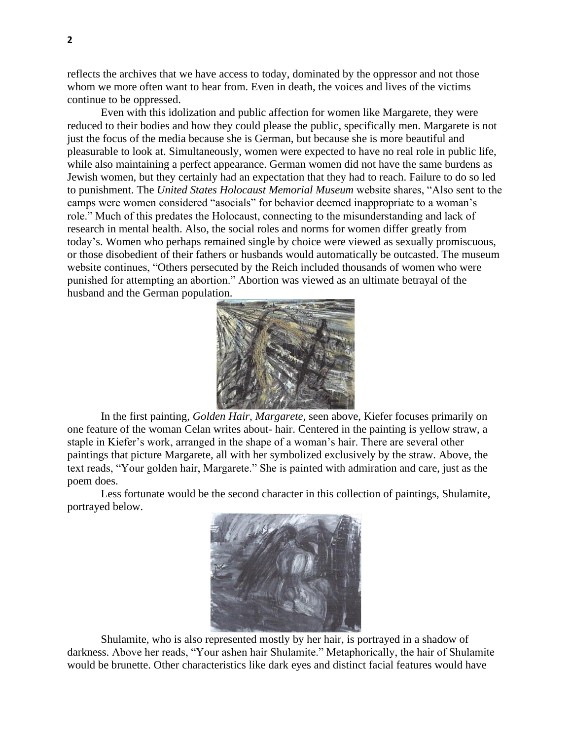reflects the archives that we have access to today, dominated by the oppressor and not those whom we more often want to hear from. Even in death, the voices and lives of the victims continue to be oppressed.

Even with this idolization and public affection for women like Margarete, they were reduced to their bodies and how they could please the public, specifically men. Margarete is not just the focus of the media because she is German, but because she is more beautiful and pleasurable to look at. Simultaneously, women were expected to have no real role in public life, while also maintaining a perfect appearance. German women did not have the same burdens as Jewish women, but they certainly had an expectation that they had to reach. Failure to do so led to punishment. The *United States Holocaust Memorial Museum* website shares, "Also sent to the camps were women considered "asocials" for behavior deemed inappropriate to a woman's role." Much of this predates the Holocaust, connecting to the misunderstanding and lack of research in mental health. Also, the social roles and norms for women differ greatly from today's. Women who perhaps remained single by choice were viewed as sexually promiscuous, or those disobedient of their fathers or husbands would automatically be outcasted. The museum website continues, "Others persecuted by the Reich included thousands of women who were punished for attempting an abortion." Abortion was viewed as an ultimate betrayal of the husband and the German population.



In the first painting, *Golden Hair, Margarete,* seen above, Kiefer focuses primarily on one feature of the woman Celan writes about- hair. Centered in the painting is yellow straw, a staple in Kiefer's work, arranged in the shape of a woman's hair. There are several other paintings that picture Margarete, all with her symbolized exclusively by the straw. Above, the text reads, "Your golden hair, Margarete." She is painted with admiration and care, just as the poem does.

Less fortunate would be the second character in this collection of paintings, Shulamite, portrayed below.



Shulamite, who is also represented mostly by her hair, is portrayed in a shadow of darkness. Above her reads, "Your ashen hair Shulamite." Metaphorically, the hair of Shulamite would be brunette. Other characteristics like dark eyes and distinct facial features would have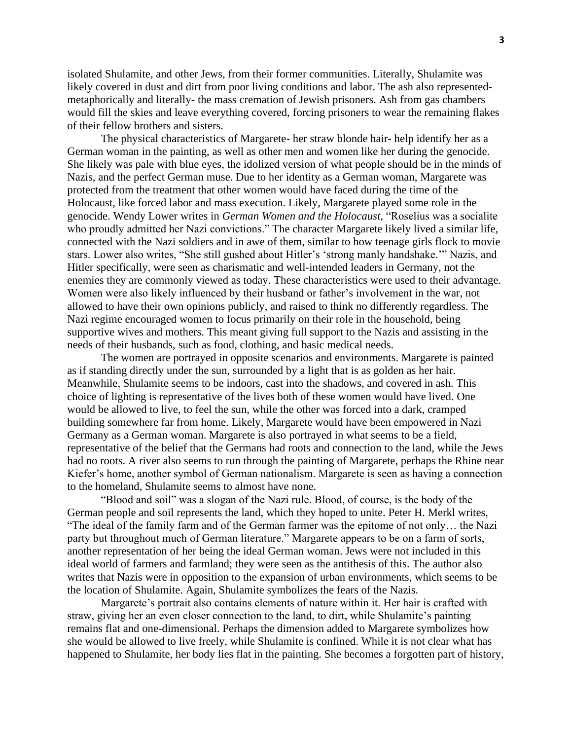isolated Shulamite, and other Jews, from their former communities. Literally, Shulamite was likely covered in dust and dirt from poor living conditions and labor. The ash also representedmetaphorically and literally- the mass cremation of Jewish prisoners. Ash from gas chambers would fill the skies and leave everything covered, forcing prisoners to wear the remaining flakes of their fellow brothers and sisters.

The physical characteristics of Margarete- her straw blonde hair- help identify her as a German woman in the painting, as well as other men and women like her during the genocide. She likely was pale with blue eyes, the idolized version of what people should be in the minds of Nazis, and the perfect German muse. Due to her identity as a German woman, Margarete was protected from the treatment that other women would have faced during the time of the Holocaust, like forced labor and mass execution. Likely, Margarete played some role in the genocide. Wendy Lower writes in *German Women and the Holocaust,* "Roselius was a socialite who proudly admitted her Nazi convictions." The character Margarete likely lived a similar life, connected with the Nazi soldiers and in awe of them, similar to how teenage girls flock to movie stars. Lower also writes, "She still gushed about Hitler's 'strong manly handshake.'" Nazis, and Hitler specifically, were seen as charismatic and well-intended leaders in Germany, not the enemies they are commonly viewed as today. These characteristics were used to their advantage. Women were also likely influenced by their husband or father's involvement in the war, not allowed to have their own opinions publicly, and raised to think no differently regardless. The Nazi regime encouraged women to focus primarily on their role in the household, being supportive wives and mothers. This meant giving full support to the Nazis and assisting in the needs of their husbands, such as food, clothing, and basic medical needs.

The women are portrayed in opposite scenarios and environments. Margarete is painted as if standing directly under the sun, surrounded by a light that is as golden as her hair. Meanwhile, Shulamite seems to be indoors, cast into the shadows, and covered in ash. This choice of lighting is representative of the lives both of these women would have lived. One would be allowed to live, to feel the sun, while the other was forced into a dark, cramped building somewhere far from home. Likely, Margarete would have been empowered in Nazi Germany as a German woman. Margarete is also portrayed in what seems to be a field, representative of the belief that the Germans had roots and connection to the land, while the Jews had no roots. A river also seems to run through the painting of Margarete, perhaps the Rhine near Kiefer's home, another symbol of German nationalism. Margarete is seen as having a connection to the homeland, Shulamite seems to almost have none.

"Blood and soil" was a slogan of the Nazi rule. Blood, of course, is the body of the German people and soil represents the land, which they hoped to unite. Peter H. Merkl writes, "The ideal of the family farm and of the German farmer was the epitome of not only… the Nazi party but throughout much of German literature." Margarete appears to be on a farm of sorts, another representation of her being the ideal German woman. Jews were not included in this ideal world of farmers and farmland; they were seen as the antithesis of this. The author also writes that Nazis were in opposition to the expansion of urban environments, which seems to be the location of Shulamite. Again, Shulamite symbolizes the fears of the Nazis.

Margarete's portrait also contains elements of nature within it. Her hair is crafted with straw, giving her an even closer connection to the land, to dirt, while Shulamite's painting remains flat and one-dimensional. Perhaps the dimension added to Margarete symbolizes how she would be allowed to live freely, while Shulamite is confined. While it is not clear what has happened to Shulamite, her body lies flat in the painting. She becomes a forgotten part of history,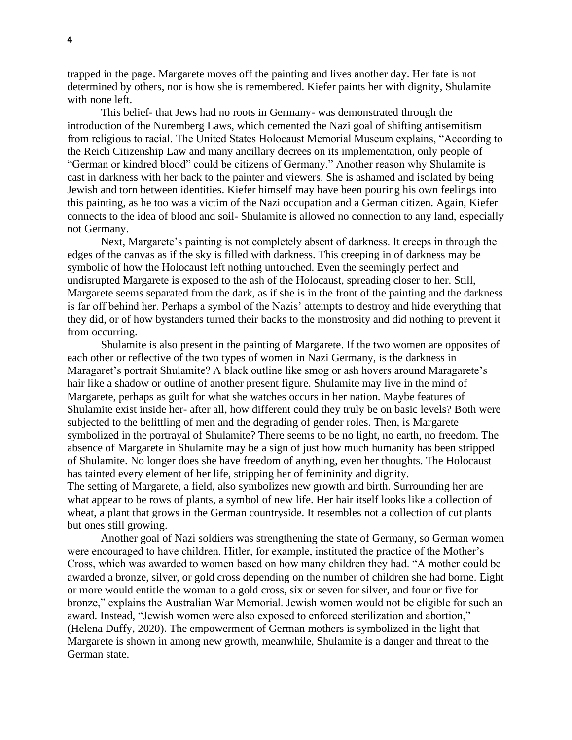trapped in the page. Margarete moves off the painting and lives another day. Her fate is not determined by others, nor is how she is remembered. Kiefer paints her with dignity, Shulamite with none left.

This belief- that Jews had no roots in Germany- was demonstrated through the introduction of the Nuremberg Laws, which cemented the Nazi goal of shifting antisemitism from religious to racial. The United States Holocaust Memorial Museum explains, "According to the Reich Citizenship Law and many ancillary decrees on its implementation, only people of "German or kindred blood" could be citizens of Germany." Another reason why Shulamite is cast in darkness with her back to the painter and viewers. She is ashamed and isolated by being Jewish and torn between identities. Kiefer himself may have been pouring his own feelings into this painting, as he too was a victim of the Nazi occupation and a German citizen. Again, Kiefer connects to the idea of blood and soil- Shulamite is allowed no connection to any land, especially not Germany.

Next, Margarete's painting is not completely absent of darkness. It creeps in through the edges of the canvas as if the sky is filled with darkness. This creeping in of darkness may be symbolic of how the Holocaust left nothing untouched. Even the seemingly perfect and undisrupted Margarete is exposed to the ash of the Holocaust, spreading closer to her. Still, Margarete seems separated from the dark, as if she is in the front of the painting and the darkness is far off behind her. Perhaps a symbol of the Nazis' attempts to destroy and hide everything that they did, or of how bystanders turned their backs to the monstrosity and did nothing to prevent it from occurring.

Shulamite is also present in the painting of Margarete. If the two women are opposites of each other or reflective of the two types of women in Nazi Germany, is the darkness in Maragaret's portrait Shulamite? A black outline like smog or ash hovers around Maragarete's hair like a shadow or outline of another present figure. Shulamite may live in the mind of Margarete, perhaps as guilt for what she watches occurs in her nation. Maybe features of Shulamite exist inside her- after all, how different could they truly be on basic levels? Both were subjected to the belittling of men and the degrading of gender roles. Then, is Margarete symbolized in the portrayal of Shulamite? There seems to be no light, no earth, no freedom. The absence of Margarete in Shulamite may be a sign of just how much humanity has been stripped of Shulamite. No longer does she have freedom of anything, even her thoughts. The Holocaust has tainted every element of her life, stripping her of femininity and dignity.

The setting of Margarete, a field, also symbolizes new growth and birth. Surrounding her are what appear to be rows of plants, a symbol of new life. Her hair itself looks like a collection of wheat, a plant that grows in the German countryside. It resembles not a collection of cut plants but ones still growing.

Another goal of Nazi soldiers was strengthening the state of Germany, so German women were encouraged to have children. Hitler, for example, instituted the practice of the Mother's Cross, which was awarded to women based on how many children they had. "A mother could be awarded a bronze, silver, or gold cross depending on the number of children she had borne. Eight or more would entitle the woman to a gold cross, six or seven for silver, and four or five for bronze," explains the Australian War Memorial. Jewish women would not be eligible for such an award. Instead, "Jewish women were also exposed to enforced sterilization and abortion," (Helena Duffy, 2020). The empowerment of German mothers is symbolized in the light that Margarete is shown in among new growth, meanwhile, Shulamite is a danger and threat to the German state.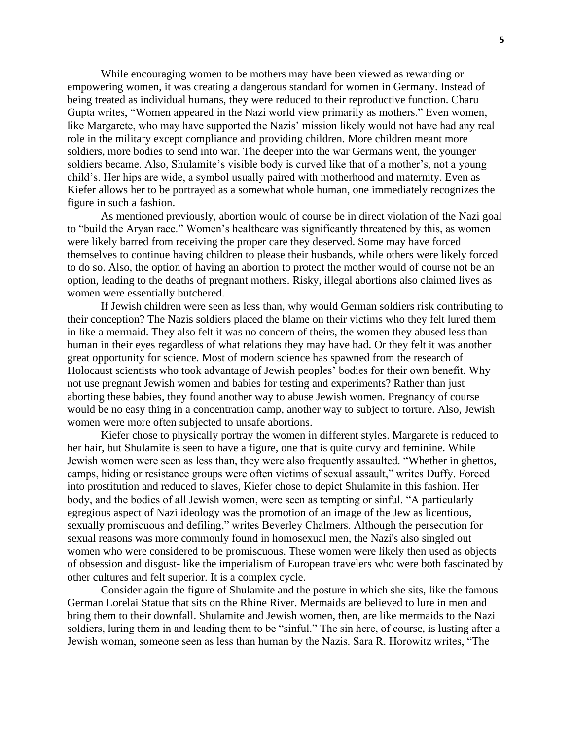While encouraging women to be mothers may have been viewed as rewarding or empowering women, it was creating a dangerous standard for women in Germany. Instead of being treated as individual humans, they were reduced to their reproductive function. Charu Gupta writes, "Women appeared in the Nazi world view primarily as mothers." Even women, like Margarete, who may have supported the Nazis' mission likely would not have had any real role in the military except compliance and providing children. More children meant more soldiers, more bodies to send into war. The deeper into the war Germans went, the younger soldiers became. Also, Shulamite's visible body is curved like that of a mother's, not a young child's. Her hips are wide, a symbol usually paired with motherhood and maternity. Even as Kiefer allows her to be portrayed as a somewhat whole human, one immediately recognizes the figure in such a fashion.

As mentioned previously, abortion would of course be in direct violation of the Nazi goal to "build the Aryan race." Women's healthcare was significantly threatened by this, as women were likely barred from receiving the proper care they deserved. Some may have forced themselves to continue having children to please their husbands, while others were likely forced to do so. Also, the option of having an abortion to protect the mother would of course not be an option, leading to the deaths of pregnant mothers. Risky, illegal abortions also claimed lives as women were essentially butchered.

If Jewish children were seen as less than, why would German soldiers risk contributing to their conception? The Nazis soldiers placed the blame on their victims who they felt lured them in like a mermaid. They also felt it was no concern of theirs, the women they abused less than human in their eyes regardless of what relations they may have had. Or they felt it was another great opportunity for science. Most of modern science has spawned from the research of Holocaust scientists who took advantage of Jewish peoples' bodies for their own benefit. Why not use pregnant Jewish women and babies for testing and experiments? Rather than just aborting these babies, they found another way to abuse Jewish women. Pregnancy of course would be no easy thing in a concentration camp, another way to subject to torture. Also, Jewish women were more often subjected to unsafe abortions.

Kiefer chose to physically portray the women in different styles. Margarete is reduced to her hair, but Shulamite is seen to have a figure, one that is quite curvy and feminine. While Jewish women were seen as less than, they were also frequently assaulted. "Whether in ghettos, camps, hiding or resistance groups were often victims of sexual assault," writes Duffy. Forced into prostitution and reduced to slaves, Kiefer chose to depict Shulamite in this fashion. Her body, and the bodies of all Jewish women, were seen as tempting or sinful. "A particularly egregious aspect of Nazi ideology was the promotion of an image of the Jew as licentious, sexually promiscuous and defiling," writes Beverley Chalmers. Although the persecution for sexual reasons was more commonly found in homosexual men, the Nazi's also singled out women who were considered to be promiscuous. These women were likely then used as objects of obsession and disgust- like the imperialism of European travelers who were both fascinated by other cultures and felt superior. It is a complex cycle.

Consider again the figure of Shulamite and the posture in which she sits, like the famous German Lorelai Statue that sits on the Rhine River. Mermaids are believed to lure in men and bring them to their downfall. Shulamite and Jewish women, then, are like mermaids to the Nazi soldiers, luring them in and leading them to be "sinful." The sin here, of course, is lusting after a Jewish woman, someone seen as less than human by the Nazis. Sara R. Horowitz writes, "The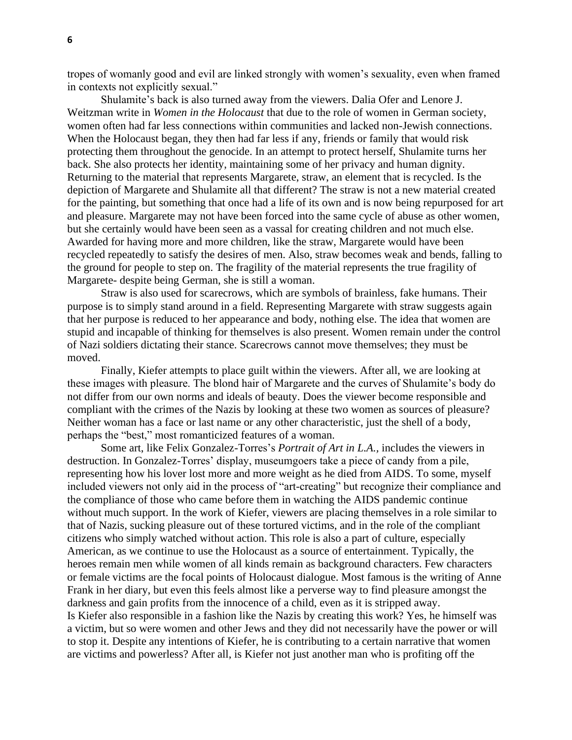tropes of womanly good and evil are linked strongly with women's sexuality, even when framed in contexts not explicitly sexual."

Shulamite's back is also turned away from the viewers. Dalia Ofer and Lenore J. Weitzman write in *Women in the Holocaust* that due to the role of women in German society, women often had far less connections within communities and lacked non-Jewish connections. When the Holocaust began, they then had far less if any, friends or family that would risk protecting them throughout the genocide. In an attempt to protect herself, Shulamite turns her back. She also protects her identity, maintaining some of her privacy and human dignity. Returning to the material that represents Margarete, straw, an element that is recycled. Is the depiction of Margarete and Shulamite all that different? The straw is not a new material created for the painting, but something that once had a life of its own and is now being repurposed for art and pleasure. Margarete may not have been forced into the same cycle of abuse as other women, but she certainly would have been seen as a vassal for creating children and not much else. Awarded for having more and more children, like the straw, Margarete would have been recycled repeatedly to satisfy the desires of men. Also, straw becomes weak and bends, falling to the ground for people to step on. The fragility of the material represents the true fragility of Margarete- despite being German, she is still a woman.

Straw is also used for scarecrows, which are symbols of brainless, fake humans. Their purpose is to simply stand around in a field. Representing Margarete with straw suggests again that her purpose is reduced to her appearance and body, nothing else. The idea that women are stupid and incapable of thinking for themselves is also present. Women remain under the control of Nazi soldiers dictating their stance. Scarecrows cannot move themselves; they must be moved.

Finally, Kiefer attempts to place guilt within the viewers. After all, we are looking at these images with pleasure. The blond hair of Margarete and the curves of Shulamite's body do not differ from our own norms and ideals of beauty. Does the viewer become responsible and compliant with the crimes of the Nazis by looking at these two women as sources of pleasure? Neither woman has a face or last name or any other characteristic, just the shell of a body, perhaps the "best," most romanticized features of a woman.

Some art, like Felix Gonzalez-Torres's *Portrait of Art in L.A.,* includes the viewers in destruction. In Gonzalez-Torres' display, museumgoers take a piece of candy from a pile, representing how his lover lost more and more weight as he died from AIDS. To some, myself included viewers not only aid in the process of "art-creating" but recognize their compliance and the compliance of those who came before them in watching the AIDS pandemic continue without much support. In the work of Kiefer, viewers are placing themselves in a role similar to that of Nazis, sucking pleasure out of these tortured victims, and in the role of the compliant citizens who simply watched without action. This role is also a part of culture, especially American, as we continue to use the Holocaust as a source of entertainment. Typically, the heroes remain men while women of all kinds remain as background characters. Few characters or female victims are the focal points of Holocaust dialogue. Most famous is the writing of Anne Frank in her diary, but even this feels almost like a perverse way to find pleasure amongst the darkness and gain profits from the innocence of a child, even as it is stripped away. Is Kiefer also responsible in a fashion like the Nazis by creating this work? Yes, he himself was a victim, but so were women and other Jews and they did not necessarily have the power or will to stop it. Despite any intentions of Kiefer, he is contributing to a certain narrative that women are victims and powerless? After all, is Kiefer not just another man who is profiting off the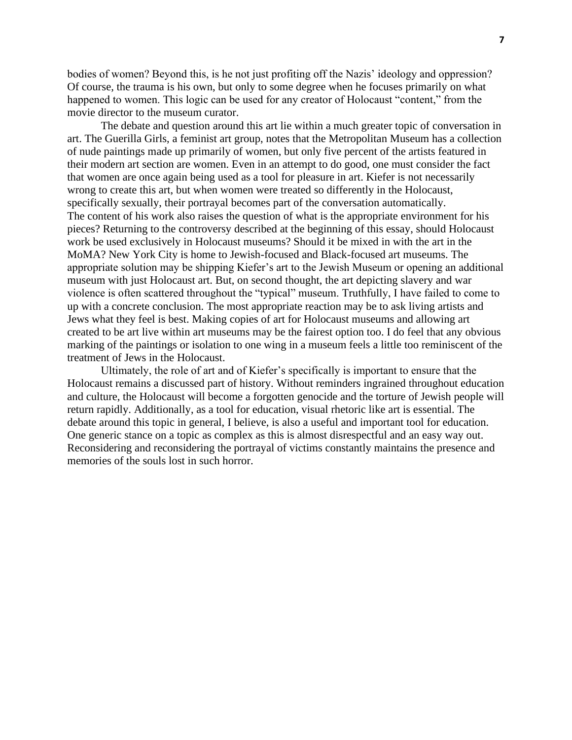bodies of women? Beyond this, is he not just profiting off the Nazis' ideology and oppression? Of course, the trauma is his own, but only to some degree when he focuses primarily on what happened to women. This logic can be used for any creator of Holocaust "content," from the movie director to the museum curator.

The debate and question around this art lie within a much greater topic of conversation in art. The Guerilla Girls, a feminist art group, notes that the Metropolitan Museum has a collection of nude paintings made up primarily of women, but only five percent of the artists featured in their modern art section are women. Even in an attempt to do good, one must consider the fact that women are once again being used as a tool for pleasure in art. Kiefer is not necessarily wrong to create this art, but when women were treated so differently in the Holocaust, specifically sexually, their portrayal becomes part of the conversation automatically. The content of his work also raises the question of what is the appropriate environment for his pieces? Returning to the controversy described at the beginning of this essay, should Holocaust work be used exclusively in Holocaust museums? Should it be mixed in with the art in the MoMA? New York City is home to Jewish-focused and Black-focused art museums. The appropriate solution may be shipping Kiefer's art to the Jewish Museum or opening an additional museum with just Holocaust art. But, on second thought, the art depicting slavery and war violence is often scattered throughout the "typical" museum. Truthfully, I have failed to come to up with a concrete conclusion. The most appropriate reaction may be to ask living artists and Jews what they feel is best. Making copies of art for Holocaust museums and allowing art created to be art live within art museums may be the fairest option too. I do feel that any obvious marking of the paintings or isolation to one wing in a museum feels a little too reminiscent of the treatment of Jews in the Holocaust.

Ultimately, the role of art and of Kiefer's specifically is important to ensure that the Holocaust remains a discussed part of history. Without reminders ingrained throughout education and culture, the Holocaust will become a forgotten genocide and the torture of Jewish people will return rapidly. Additionally, as a tool for education, visual rhetoric like art is essential. The debate around this topic in general, I believe, is also a useful and important tool for education. One generic stance on a topic as complex as this is almost disrespectful and an easy way out. Reconsidering and reconsidering the portrayal of victims constantly maintains the presence and memories of the souls lost in such horror.